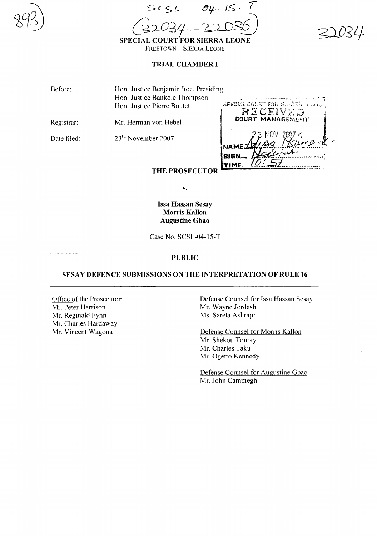

.--:--  $SSCSL - 04 - 15 - 7$  $(22034 - 22036)$ 

SPECIAL COURT FOR SIERRA LEONE FREETOWN - SIERRA LEONE

## TRIAL CHAMBER I

Before: Hon. Justice Benjamin Itoe, Presiding Hon. Justice Bankole Thompson Hon. Justice Pierre Boutet

Registrar: Mr. Herman von Hebel

Date filed: 23<sup>rd</sup> November 2007



# **THE PROSECUTOR**

v.

Issa Hassan Sesay Morris Kallon Augustine Gbao

Case No. SCSL-04-l5-T

# PUBLIC

## SESAY DEFENCE SUBMISSIONS ON THE INTERPRETATION OF RULE 16

Office of the Prosecutor: Mr. Peter Harrison Mr. Reginald Fynn Mr. Charles Hardaway Mr. Vincent Wagona

Defense Counsel for Issa Hassan Sesay Mr. Wayne Jordash Ms. Sareta Ashraph

Defense Counsel for Morris Kallon Mr. Shekou Touray Mr. Charles Taku Mr. Ogetto Kennedy

Defense Counsel for Augustine Gbao Mr. John Cammegh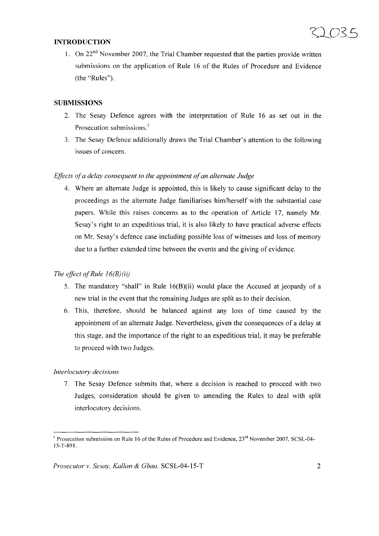### **INTRODUCTION**

1. On  $22<sup>nd</sup>$  November 2007, the Trial Chamber requested that the parties provide written submissions on the application of Rule 16 of the Rules of Procedure and Evidence (the "Rules").

#### **SUBMISSIONS**

- 2. The Sesay Defence agrees with the interpretation of Rule 16 as set out in the Prosecution submissions.<sup>1</sup>
- 3. The Sesay Defence additionally draws the Trial Chamber's attention to the following issues of concern.

#### *Effects ofa delay consequent to the appointment ofan alternate Judge*

4. Where an alternate Judge is appointed, this is likely to cause significant delay to the proceedings as the alternate Judge familiarises him/herself with the substantial case papers. While this raises concerns as to the operation of Article 17, namely Mr. Sesay's right to an expeditious trial, it is also likely to have practical adverse effects on Mr. Sesay's defence case including possible loss of witnesses and loss of memory due to a further extended time between the events and the giving of evidence.

#### *The effect of Rule*  $16(B)(ii)$

- 5. The mandatory "shall" in Rule 16(B)(ii) would place the Accused at jeopardy of a new trial in the event that the remaining Judges are split as to their decision.
- 6. This, therefore, should be balanced against any loss of time caused by the appointment of an alternate Judge. Nevertheless, given the consequences of a delay at this stage, and the importance of the right to an expeditious trial, it may be preferable to proceed with two Judges.

#### *Interlocutory decisions*

7. The Sesay Defence submits that, where a decision is reached to proceed with two Judges, consideration should be given to amending the Rules to deal with split interlocutory decisions.

<sup>&</sup>lt;sup>1</sup> Prosecution submission on Rule 16 of the Rules of Procedure and Evidence,  $23<sup>rd</sup>$  November 2007, SCSL-04-15-*T-89* I.